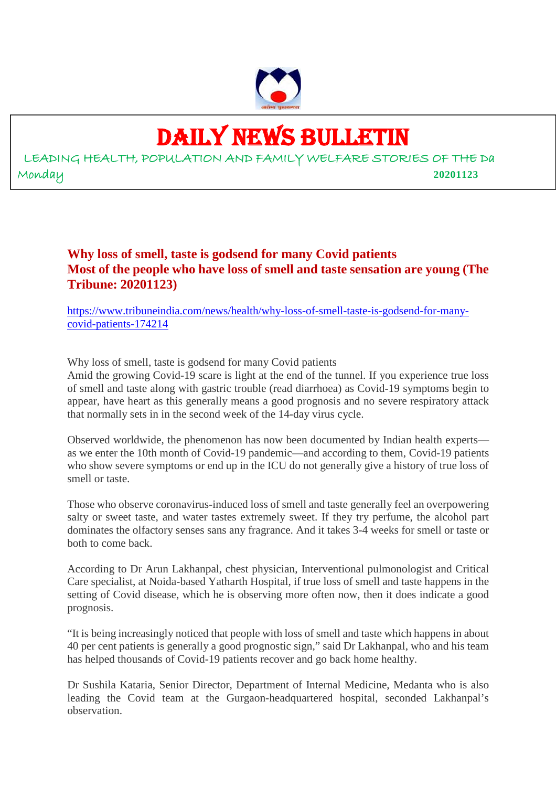

# DAILY NEWS BULLETIN

LEADING HEALTH, POPULATION AND FAMILY WELFARE STORIES OF THE Da Monday **20201123**

> **Why loss of smell, taste is godsend for many Covid patients Most of the people who have loss of smell and taste sensation are young (The Tribune: 20201123)**

https://www.tribuneindia.com/news/health/why-loss-of-smell-taste-is-godsend-for-manycovid-patients-174214

Why loss of smell, taste is godsend for many Covid patients

Amid the growing Covid-19 scare is light at the end of the tunnel. If you experience true loss of smell and taste along with gastric trouble (read diarrhoea) as Covid-19 symptoms begin to appear, have heart as this generally means a good prognosis and no severe respiratory attack that normally sets in in the second week of the 14-day virus cycle.

Observed worldwide, the phenomenon has now been documented by Indian health experts as we enter the 10th month of Covid-19 pandemic—and according to them, Covid-19 patients who show severe symptoms or end up in the ICU do not generally give a history of true loss of smell or taste.

Those who observe coronavirus-induced loss of smell and taste generally feel an overpowering salty or sweet taste, and water tastes extremely sweet. If they try perfume, the alcohol part dominates the olfactory senses sans any fragrance. And it takes 3-4 weeks for smell or taste or both to come back.

According to Dr Arun Lakhanpal, chest physician, Interventional pulmonologist and Critical Care specialist, at Noida-based Yatharth Hospital, if true loss of smell and taste happens in the setting of Covid disease, which he is observing more often now, then it does indicate a good prognosis.

"It is being increasingly noticed that people with loss of smell and taste which happens in about 40 per cent patients is generally a good prognostic sign," said Dr Lakhanpal, who and his team has helped thousands of Covid-19 patients recover and go back home healthy.

Dr Sushila Kataria, Senior Director, Department of Internal Medicine, Medanta who is also leading the Covid team at the Gurgaon-headquartered hospital, seconded Lakhanpal's observation.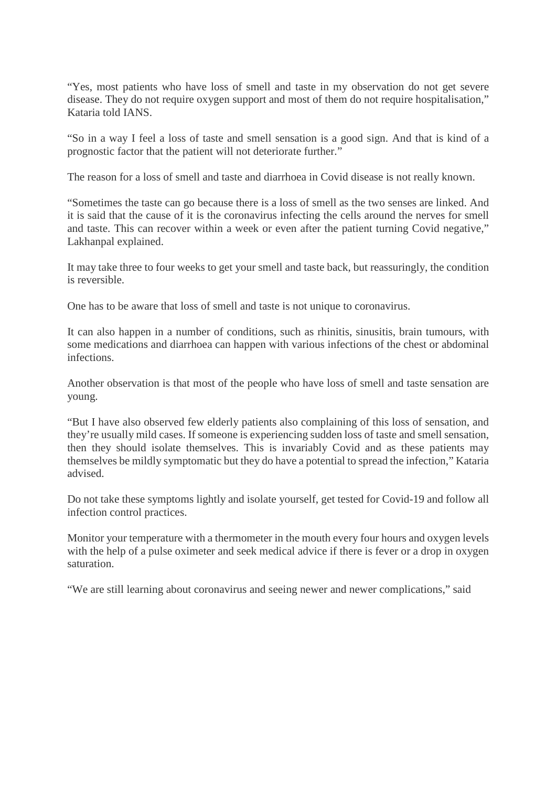"Yes, most patients who have loss of smell and taste in my observation do not get severe disease. They do not require oxygen support and most of them do not require hospitalisation," Kataria told IANS.

"So in a way I feel a loss of taste and smell sensation is a good sign. And that is kind of a prognostic factor that the patient will not deteriorate further."

The reason for a loss of smell and taste and diarrhoea in Covid disease is not really known.

"Sometimes the taste can go because there is a loss of smell as the two senses are linked. And it is said that the cause of it is the coronavirus infecting the cells around the nerves for smell and taste. This can recover within a week or even after the patient turning Covid negative," Lakhanpal explained.

It may take three to four weeks to get your smell and taste back, but reassuringly, the condition is reversible.

One has to be aware that loss of smell and taste is not unique to coronavirus.

It can also happen in a number of conditions, such as rhinitis, sinusitis, brain tumours, with some medications and diarrhoea can happen with various infections of the chest or abdominal infections.

Another observation is that most of the people who have loss of smell and taste sensation are young.

"But I have also observed few elderly patients also complaining of this loss of sensation, and they're usually mild cases. If someone is experiencing sudden loss of taste and smell sensation, then they should isolate themselves. This is invariably Covid and as these patients may themselves be mildly symptomatic but they do have a potential to spread the infection," Kataria advised.

Do not take these symptoms lightly and isolate yourself, get tested for Covid-19 and follow all infection control practices.

Monitor your temperature with a thermometer in the mouth every four hours and oxygen levels with the help of a pulse oximeter and seek medical advice if there is fever or a drop in oxygen saturation.

"We are still learning about coronavirus and seeing newer and newer complications," said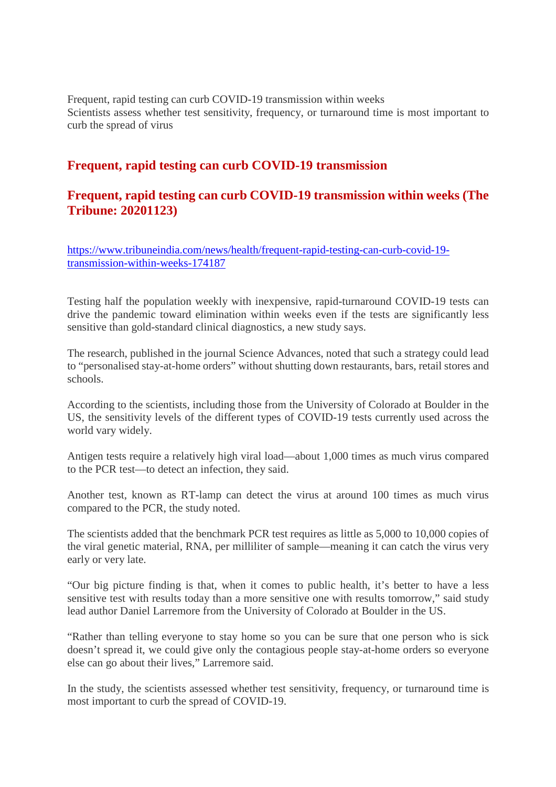Frequent, rapid testing can curb COVID-19 transmission within weeks Scientists assess whether test sensitivity, frequency, or turnaround time is most important to curb the spread of virus

#### **Frequent, rapid testing can curb COVID-19 transmission**

#### **Frequent, rapid testing can curb COVID-19 transmission within weeks (The Tribune: 20201123)**

https://www.tribuneindia.com/news/health/frequent-rapid-testing-can-curb-covid-19 transmission-within-weeks-174187

Testing half the population weekly with inexpensive, rapid-turnaround COVID-19 tests can drive the pandemic toward elimination within weeks even if the tests are significantly less sensitive than gold-standard clinical diagnostics, a new study says.

The research, published in the journal Science Advances, noted that such a strategy could lead to "personalised stay-at-home orders" without shutting down restaurants, bars, retail stores and schools.

According to the scientists, including those from the University of Colorado at Boulder in the US, the sensitivity levels of the different types of COVID-19 tests currently used across the world vary widely.

Antigen tests require a relatively high viral load—about 1,000 times as much virus compared to the PCR test—to detect an infection, they said.

Another test, known as RT-lamp can detect the virus at around 100 times as much virus compared to the PCR, the study noted.

The scientists added that the benchmark PCR test requires as little as 5,000 to 10,000 copies of the viral genetic material, RNA, per milliliter of sample—meaning it can catch the virus very early or very late.

"Our big picture finding is that, when it comes to public health, it's better to have a less sensitive test with results today than a more sensitive one with results tomorrow," said study lead author Daniel Larremore from the University of Colorado at Boulder in the US.

"Rather than telling everyone to stay home so you can be sure that one person who is sick doesn't spread it, we could give only the contagious people stay-at-home orders so everyone else can go about their lives," Larremore said.

In the study, the scientists assessed whether test sensitivity, frequency, or turnaround time is most important to curb the spread of COVID-19.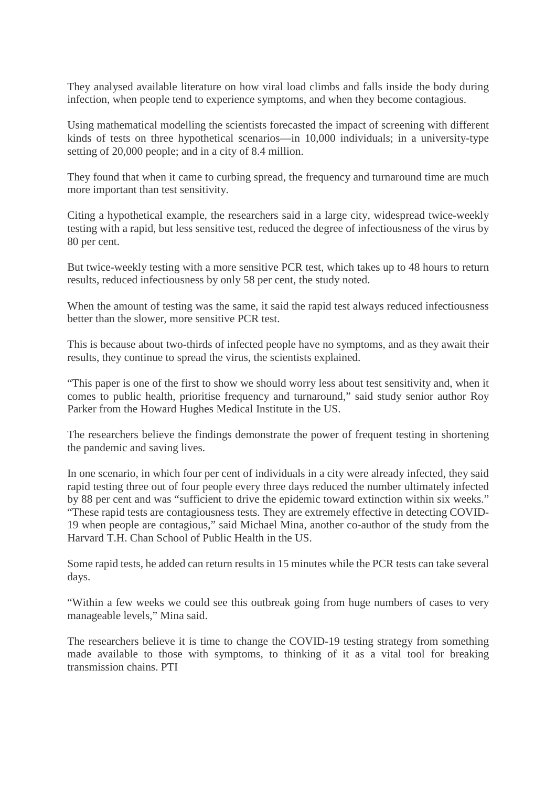They analysed available literature on how viral load climbs and falls inside the body during infection, when people tend to experience symptoms, and when they become contagious.

Using mathematical modelling the scientists forecasted the impact of screening with different kinds of tests on three hypothetical scenarios—in 10,000 individuals; in a university-type setting of 20,000 people; and in a city of 8.4 million.

They found that when it came to curbing spread, the frequency and turnaround time are much more important than test sensitivity.

Citing a hypothetical example, the researchers said in a large city, widespread twice-weekly testing with a rapid, but less sensitive test, reduced the degree of infectiousness of the virus by 80 per cent.

But twice-weekly testing with a more sensitive PCR test, which takes up to 48 hours to return results, reduced infectiousness by only 58 per cent, the study noted.

When the amount of testing was the same, it said the rapid test always reduced infectiousness better than the slower, more sensitive PCR test.

This is because about two-thirds of infected people have no symptoms, and as they await their results, they continue to spread the virus, the scientists explained.

"This paper is one of the first to show we should worry less about test sensitivity and, when it comes to public health, prioritise frequency and turnaround," said study senior author Roy Parker from the Howard Hughes Medical Institute in the US.

The researchers believe the findings demonstrate the power of frequent testing in shortening the pandemic and saving lives.

In one scenario, in which four per cent of individuals in a city were already infected, they said rapid testing three out of four people every three days reduced the number ultimately infected by 88 per cent and was "sufficient to drive the epidemic toward extinction within six weeks." "These rapid tests are contagiousness tests. They are extremely effective in detecting COVID-19 when people are contagious," said Michael Mina, another co-author of the study from the Harvard T.H. Chan School of Public Health in the US.

Some rapid tests, he added can return results in 15 minutes while the PCR tests can take several days.

"Within a few weeks we could see this outbreak going from huge numbers of cases to very manageable levels," Mina said.

The researchers believe it is time to change the COVID-19 testing strategy from something made available to those with symptoms, to thinking of it as a vital tool for breaking transmission chains. PTI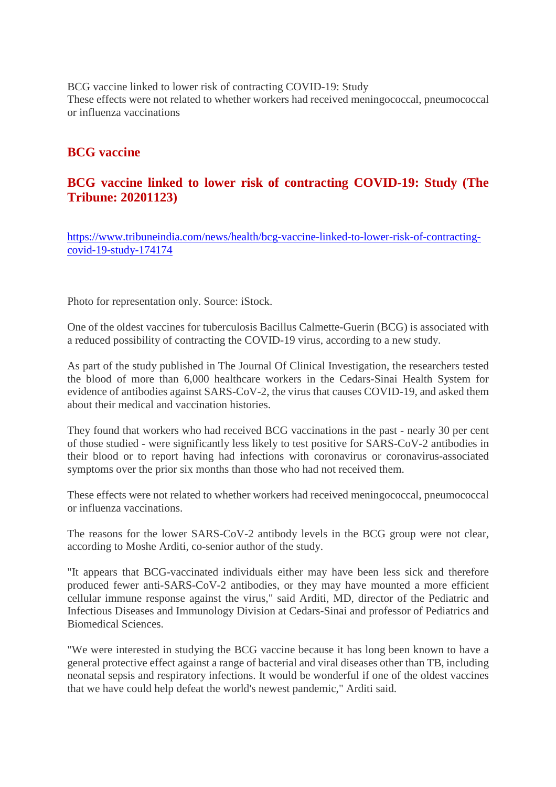BCG vaccine linked to lower risk of contracting COVID-19: Study These effects were not related to whether workers had received meningococcal, pneumococcal or influenza vaccinations

#### **BCG vaccine**

#### **BCG vaccine linked to lower risk of contracting COVID-19: Study (The Tribune: 20201123)**

https://www.tribuneindia.com/news/health/bcg-vaccine-linked-to-lower-risk-of-contractingcovid-19-study-174174

Photo for representation only. Source: iStock.

One of the oldest vaccines for tuberculosis Bacillus Calmette-Guerin (BCG) is associated with a reduced possibility of contracting the COVID-19 virus, according to a new study.

As part of the study published in The Journal Of Clinical Investigation, the researchers tested the blood of more than 6,000 healthcare workers in the Cedars-Sinai Health System for evidence of antibodies against SARS-CoV-2, the virus that causes COVID-19, and asked them about their medical and vaccination histories.

They found that workers who had received BCG vaccinations in the past - nearly 30 per cent of those studied - were significantly less likely to test positive for SARS-CoV-2 antibodies in their blood or to report having had infections with coronavirus or coronavirus-associated symptoms over the prior six months than those who had not received them.

These effects were not related to whether workers had received meningococcal, pneumococcal or influenza vaccinations.

The reasons for the lower SARS-CoV-2 antibody levels in the BCG group were not clear, according to Moshe Arditi, co-senior author of the study.

"It appears that BCG-vaccinated individuals either may have been less sick and therefore produced fewer anti-SARS-CoV-2 antibodies, or they may have mounted a more efficient cellular immune response against the virus," said Arditi, MD, director of the Pediatric and Infectious Diseases and Immunology Division at Cedars-Sinai and professor of Pediatrics and Biomedical Sciences.

"We were interested in studying the BCG vaccine because it has long been known to have a general protective effect against a range of bacterial and viral diseases other than TB, including neonatal sepsis and respiratory infections. It would be wonderful if one of the oldest vaccines that we have could help defeat the world's newest pandemic," Arditi said.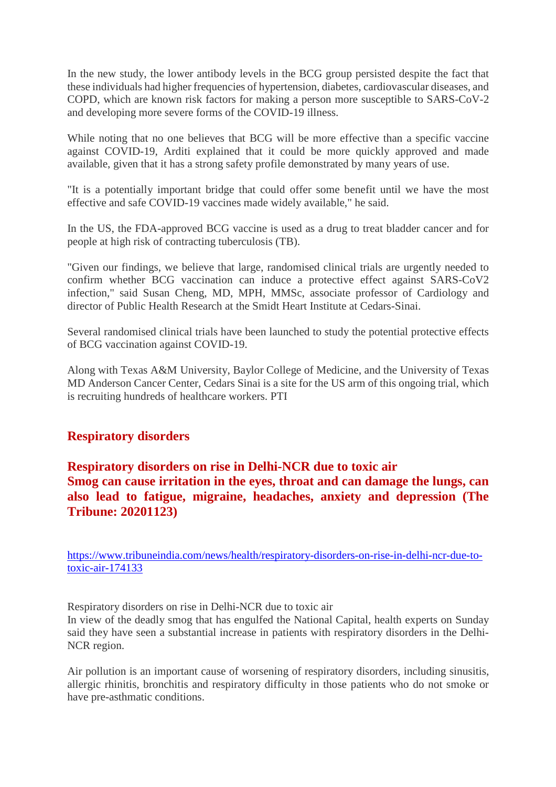In the new study, the lower antibody levels in the BCG group persisted despite the fact that these individuals had higher frequencies of hypertension, diabetes, cardiovascular diseases, and COPD, which are known risk factors for making a person more susceptible to SARS-CoV-2 and developing more severe forms of the COVID-19 illness.

While noting that no one believes that BCG will be more effective than a specific vaccine against COVID-19, Arditi explained that it could be more quickly approved and made available, given that it has a strong safety profile demonstrated by many years of use.

"It is a potentially important bridge that could offer some benefit until we have the most effective and safe COVID-19 vaccines made widely available," he said.

In the US, the FDA-approved BCG vaccine is used as a drug to treat bladder cancer and for people at high risk of contracting tuberculosis (TB).

"Given our findings, we believe that large, randomised clinical trials are urgently needed to confirm whether BCG vaccination can induce a protective effect against SARS-CoV2 infection," said Susan Cheng, MD, MPH, MMSc, associate professor of Cardiology and director of Public Health Research at the Smidt Heart Institute at Cedars-Sinai.

Several randomised clinical trials have been launched to study the potential protective effects of BCG vaccination against COVID-19.

Along with Texas A&M University, Baylor College of Medicine, and the University of Texas MD Anderson Cancer Center, Cedars Sinai is a site for the US arm of this ongoing trial, which is recruiting hundreds of healthcare workers. PTI

#### **Respiratory disorders**

#### **Respiratory disorders on rise in Delhi-NCR due to toxic air Smog can cause irritation in the eyes, throat and can damage the lungs, can also lead to fatigue, migraine, headaches, anxiety and depression (The Tribune: 20201123)**

https://www.tribuneindia.com/news/health/respiratory-disorders-on-rise-in-delhi-ncr-due-totoxic-air-174133

Respiratory disorders on rise in Delhi-NCR due to toxic air

In view of the deadly smog that has engulfed the National Capital, health experts on Sunday said they have seen a substantial increase in patients with respiratory disorders in the Delhi-NCR region.

Air pollution is an important cause of worsening of respiratory disorders, including sinusitis, allergic rhinitis, bronchitis and respiratory difficulty in those patients who do not smoke or have pre-asthmatic conditions.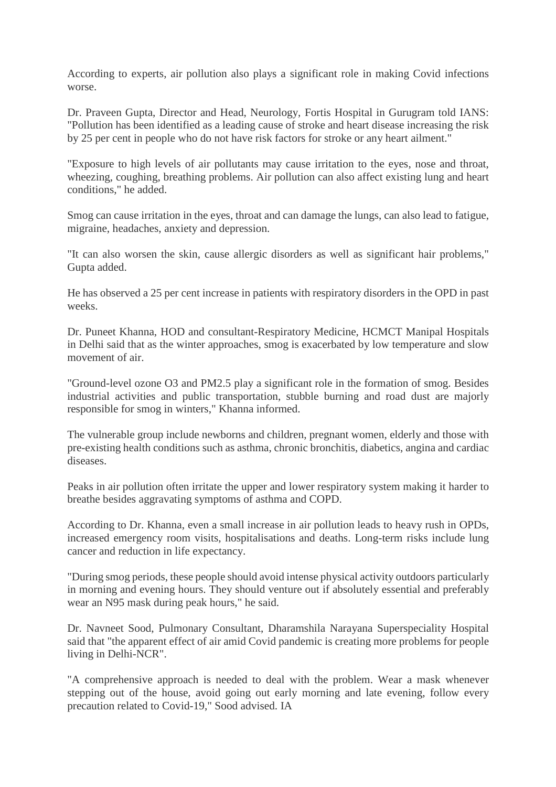According to experts, air pollution also plays a significant role in making Covid infections worse.

Dr. Praveen Gupta, Director and Head, Neurology, Fortis Hospital in Gurugram told IANS: "Pollution has been identified as a leading cause of stroke and heart disease increasing the risk by 25 per cent in people who do not have risk factors for stroke or any heart ailment."

"Exposure to high levels of air pollutants may cause irritation to the eyes, nose and throat, wheezing, coughing, breathing problems. Air pollution can also affect existing lung and heart conditions," he added.

Smog can cause irritation in the eyes, throat and can damage the lungs, can also lead to fatigue, migraine, headaches, anxiety and depression.

"It can also worsen the skin, cause allergic disorders as well as significant hair problems," Gupta added.

He has observed a 25 per cent increase in patients with respiratory disorders in the OPD in past weeks.

Dr. Puneet Khanna, HOD and consultant-Respiratory Medicine, HCMCT Manipal Hospitals in Delhi said that as the winter approaches, smog is exacerbated by low temperature and slow movement of air.

"Ground-level ozone O3 and PM2.5 play a significant role in the formation of smog. Besides industrial activities and public transportation, stubble burning and road dust are majorly responsible for smog in winters," Khanna informed.

The vulnerable group include newborns and children, pregnant women, elderly and those with pre-existing health conditions such as asthma, chronic bronchitis, diabetics, angina and cardiac diseases.

Peaks in air pollution often irritate the upper and lower respiratory system making it harder to breathe besides aggravating symptoms of asthma and COPD.

According to Dr. Khanna, even a small increase in air pollution leads to heavy rush in OPDs, increased emergency room visits, hospitalisations and deaths. Long-term risks include lung cancer and reduction in life expectancy.

"During smog periods, these people should avoid intense physical activity outdoors particularly in morning and evening hours. They should venture out if absolutely essential and preferably wear an N95 mask during peak hours," he said.

Dr. Navneet Sood, Pulmonary Consultant, Dharamshila Narayana Superspeciality Hospital said that "the apparent effect of air amid Covid pandemic is creating more problems for people living in Delhi-NCR".

"A comprehensive approach is needed to deal with the problem. Wear a mask whenever stepping out of the house, avoid going out early morning and late evening, follow every precaution related to Covid-19," Sood advised. IA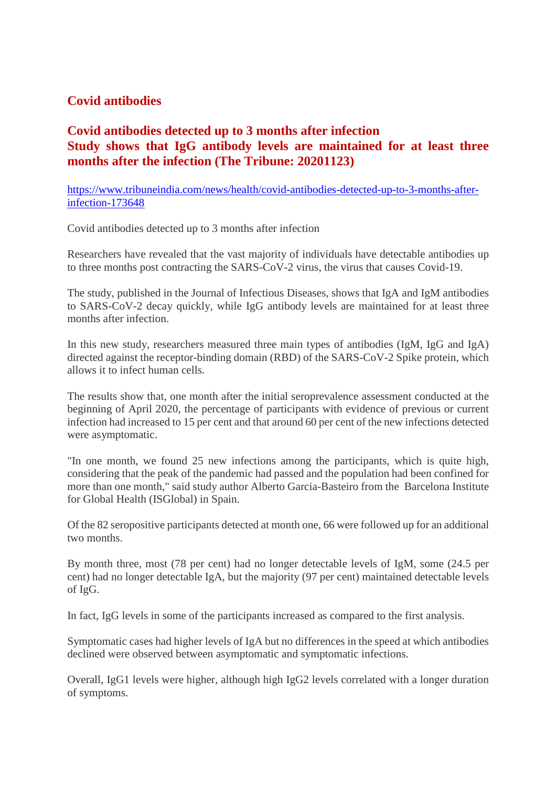#### **Covid antibodies**

#### **Covid antibodies detected up to 3 months after infection Study shows that IgG antibody levels are maintained for at least three months after the infection (The Tribune: 20201123)**

https://www.tribuneindia.com/news/health/covid-antibodies-detected-up-to-3-months-afterinfection-173648

Covid antibodies detected up to 3 months after infection

Researchers have revealed that the vast majority of individuals have detectable antibodies up to three months post contracting the SARS-CoV-2 virus, the virus that causes Covid-19.

The study, published in the Journal of Infectious Diseases, shows that IgA and IgM antibodies to SARS-CoV-2 decay quickly, while IgG antibody levels are maintained for at least three months after infection.

In this new study, researchers measured three main types of antibodies (IgM, IgG and IgA) directed against the receptor-binding domain (RBD) of the SARS-CoV-2 Spike protein, which allows it to infect human cells.

The results show that, one month after the initial seroprevalence assessment conducted at the beginning of April 2020, the percentage of participants with evidence of previous or current infection had increased to 15 per cent and that around 60 per cent of the new infections detected were asymptomatic.

"In one month, we found 25 new infections among the participants, which is quite high, considering that the peak of the pandemic had passed and the population had been confined for more than one month," said study author Alberto Garcia-Basteiro from the Barcelona Institute for Global Health (ISGlobal) in Spain.

Of the 82 seropositive participants detected at month one, 66 were followed up for an additional two months.

By month three, most (78 per cent) had no longer detectable levels of IgM, some (24.5 per cent) had no longer detectable IgA, but the majority (97 per cent) maintained detectable levels of IgG.

In fact, IgG levels in some of the participants increased as compared to the first analysis.

Symptomatic cases had higher levels of IgA but no differences in the speed at which antibodies declined were observed between asymptomatic and symptomatic infections.

Overall, IgG1 levels were higher, although high IgG2 levels correlated with a longer duration of symptoms.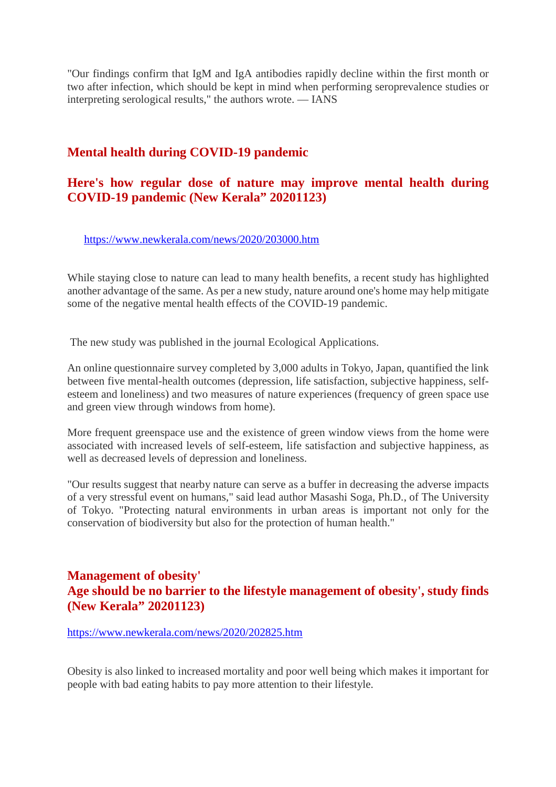"Our findings confirm that IgM and IgA antibodies rapidly decline within the first month or two after infection, which should be kept in mind when performing seroprevalence studies or interpreting serological results," the authors wrote. — IANS

#### **Mental health during COVID-19 pandemic**

#### **Here's how regular dose of nature may improve mental health during COVID-19 pandemic (New Kerala" 20201123)**

https://www.newkerala.com/news/2020/203000.htm

While staying close to nature can lead to many health benefits, a recent study has highlighted another advantage of the same. As per a new study, nature around one's home may help mitigate some of the negative mental health effects of the COVID-19 pandemic.

The new study was published in the journal Ecological Applications.

An online questionnaire survey completed by 3,000 adults in Tokyo, Japan, quantified the link between five mental-health outcomes (depression, life satisfaction, subjective happiness, selfesteem and loneliness) and two measures of nature experiences (frequency of green space use and green view through windows from home).

More frequent greenspace use and the existence of green window views from the home were associated with increased levels of self-esteem, life satisfaction and subjective happiness, as well as decreased levels of depression and loneliness.

"Our results suggest that nearby nature can serve as a buffer in decreasing the adverse impacts of a very stressful event on humans," said lead author Masashi Soga, Ph.D., of The University of Tokyo. "Protecting natural environments in urban areas is important not only for the conservation of biodiversity but also for the protection of human health."

#### **Management of obesity' Age should be no barrier to the lifestyle management of obesity', study finds (New Kerala" 20201123)**

https://www.newkerala.com/news/2020/202825.htm

Obesity is also linked to increased mortality and poor well being which makes it important for people with bad eating habits to pay more attention to their lifestyle.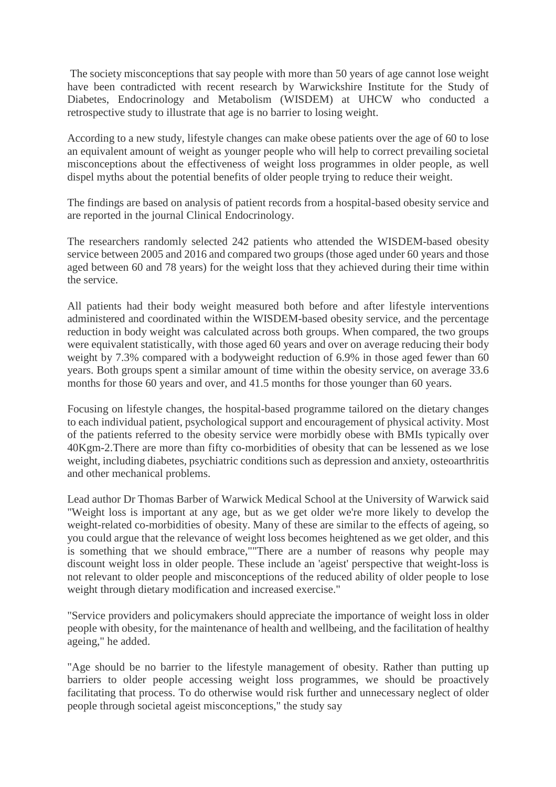The society misconceptions that say people with more than 50 years of age cannot lose weight have been contradicted with recent research by Warwickshire Institute for the Study of Diabetes, Endocrinology and Metabolism (WISDEM) at UHCW who conducted a retrospective study to illustrate that age is no barrier to losing weight.

According to a new study, lifestyle changes can make obese patients over the age of 60 to lose an equivalent amount of weight as younger people who will help to correct prevailing societal misconceptions about the effectiveness of weight loss programmes in older people, as well dispel myths about the potential benefits of older people trying to reduce their weight.

The findings are based on analysis of patient records from a hospital-based obesity service and are reported in the journal Clinical Endocrinology.

The researchers randomly selected 242 patients who attended the WISDEM-based obesity service between 2005 and 2016 and compared two groups (those aged under 60 years and those aged between 60 and 78 years) for the weight loss that they achieved during their time within the service.

All patients had their body weight measured both before and after lifestyle interventions administered and coordinated within the WISDEM-based obesity service, and the percentage reduction in body weight was calculated across both groups. When compared, the two groups were equivalent statistically, with those aged 60 years and over on average reducing their body weight by 7.3% compared with a bodyweight reduction of 6.9% in those aged fewer than 60 years. Both groups spent a similar amount of time within the obesity service, on average 33.6 months for those 60 years and over, and 41.5 months for those younger than 60 years.

Focusing on lifestyle changes, the hospital-based programme tailored on the dietary changes to each individual patient, psychological support and encouragement of physical activity. Most of the patients referred to the obesity service were morbidly obese with BMIs typically over 40Kgm-2.There are more than fifty co-morbidities of obesity that can be lessened as we lose weight, including diabetes, psychiatric conditions such as depression and anxiety, osteoarthritis and other mechanical problems.

Lead author Dr Thomas Barber of Warwick Medical School at the University of Warwick said "Weight loss is important at any age, but as we get older we're more likely to develop the weight-related co-morbidities of obesity. Many of these are similar to the effects of ageing, so you could argue that the relevance of weight loss becomes heightened as we get older, and this is something that we should embrace,""There are a number of reasons why people may discount weight loss in older people. These include an 'ageist' perspective that weight-loss is not relevant to older people and misconceptions of the reduced ability of older people to lose weight through dietary modification and increased exercise."

"Service providers and policymakers should appreciate the importance of weight loss in older people with obesity, for the maintenance of health and wellbeing, and the facilitation of healthy ageing," he added.

"Age should be no barrier to the lifestyle management of obesity. Rather than putting up barriers to older people accessing weight loss programmes, we should be proactively facilitating that process. To do otherwise would risk further and unnecessary neglect of older people through societal ageist misconceptions," the study say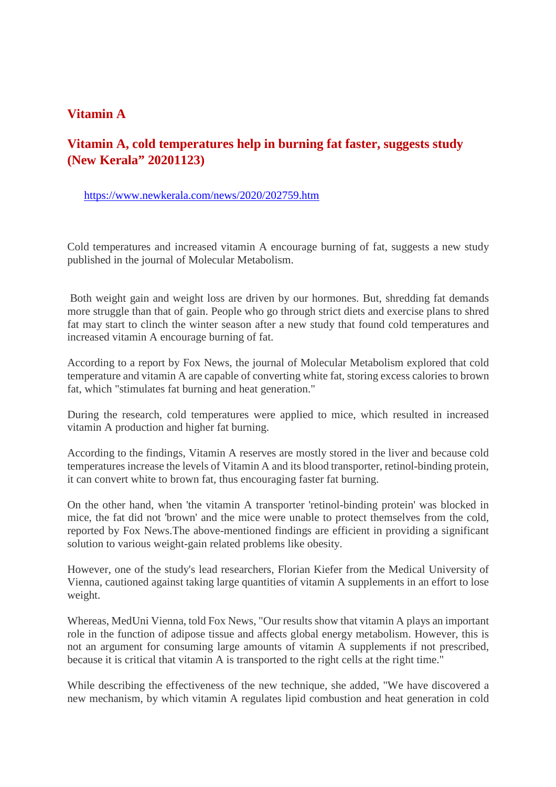#### **Vitamin A**

## **Vitamin A, cold temperatures help in burning fat faster, suggests study (New Kerala" 20201123)**

https://www.newkerala.com/news/2020/202759.htm

Cold temperatures and increased vitamin A encourage burning of fat, suggests a new study published in the journal of Molecular Metabolism.

Both weight gain and weight loss are driven by our hormones. But, shredding fat demands more struggle than that of gain. People who go through strict diets and exercise plans to shred fat may start to clinch the winter season after a new study that found cold temperatures and increased vitamin A encourage burning of fat.

According to a report by Fox News, the journal of Molecular Metabolism explored that cold temperature and vitamin A are capable of converting white fat, storing excess calories to brown fat, which "stimulates fat burning and heat generation."

During the research, cold temperatures were applied to mice, which resulted in increased vitamin A production and higher fat burning.

According to the findings, Vitamin A reserves are mostly stored in the liver and because cold temperatures increase the levels of Vitamin A and its blood transporter, retinol-binding protein, it can convert white to brown fat, thus encouraging faster fat burning.

On the other hand, when 'the vitamin A transporter 'retinol-binding protein' was blocked in mice, the fat did not 'brown' and the mice were unable to protect themselves from the cold, reported by Fox News.The above-mentioned findings are efficient in providing a significant solution to various weight-gain related problems like obesity.

However, one of the study's lead researchers, Florian Kiefer from the Medical University of Vienna, cautioned against taking large quantities of vitamin A supplements in an effort to lose weight.

Whereas, MedUni Vienna, told Fox News, "Our results show that vitamin A plays an important role in the function of adipose tissue and affects global energy metabolism. However, this is not an argument for consuming large amounts of vitamin A supplements if not prescribed, because it is critical that vitamin A is transported to the right cells at the right time."

While describing the effectiveness of the new technique, she added, "We have discovered a new mechanism, by which vitamin A regulates lipid combustion and heat generation in cold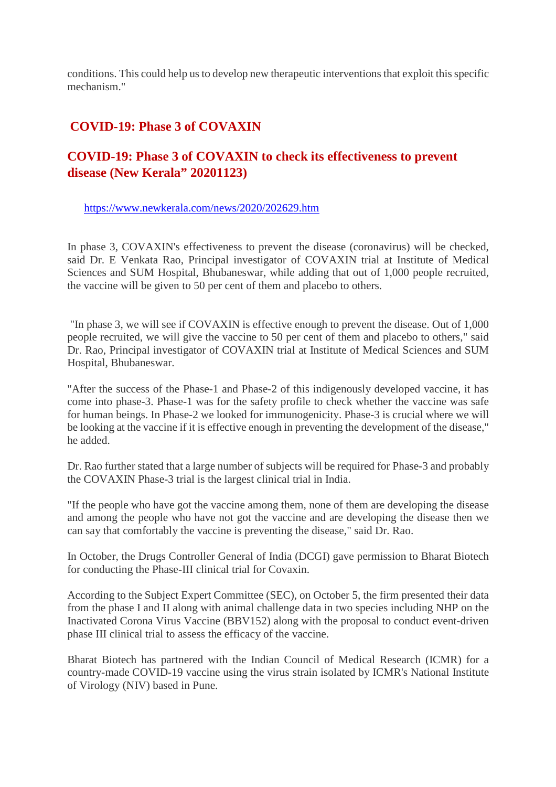conditions. This could help us to develop new therapeutic interventions that exploit this specific mechanism."

## **COVID-19: Phase 3 of COVAXIN**

## **COVID-19: Phase 3 of COVAXIN to check its effectiveness to prevent disease (New Kerala" 20201123)**

https://www.newkerala.com/news/2020/202629.htm

In phase 3, COVAXIN's effectiveness to prevent the disease (coronavirus) will be checked, said Dr. E Venkata Rao, Principal investigator of COVAXIN trial at Institute of Medical Sciences and SUM Hospital, Bhubaneswar, while adding that out of 1,000 people recruited. the vaccine will be given to 50 per cent of them and placebo to others.

"In phase 3, we will see if COVAXIN is effective enough to prevent the disease. Out of 1,000 people recruited, we will give the vaccine to 50 per cent of them and placebo to others," said Dr. Rao, Principal investigator of COVAXIN trial at Institute of Medical Sciences and SUM Hospital, Bhubaneswar.

"After the success of the Phase-1 and Phase-2 of this indigenously developed vaccine, it has come into phase-3. Phase-1 was for the safety profile to check whether the vaccine was safe for human beings. In Phase-2 we looked for immunogenicity. Phase-3 is crucial where we will be looking at the vaccine if it is effective enough in preventing the development of the disease," he added.

Dr. Rao further stated that a large number of subjects will be required for Phase-3 and probably the COVAXIN Phase-3 trial is the largest clinical trial in India.

"If the people who have got the vaccine among them, none of them are developing the disease and among the people who have not got the vaccine and are developing the disease then we can say that comfortably the vaccine is preventing the disease," said Dr. Rao.

In October, the Drugs Controller General of India (DCGI) gave permission to Bharat Biotech for conducting the Phase-III clinical trial for Covaxin.

According to the Subject Expert Committee (SEC), on October 5, the firm presented their data from the phase I and II along with animal challenge data in two species including NHP on the Inactivated Corona Virus Vaccine (BBV152) along with the proposal to conduct event-driven phase III clinical trial to assess the efficacy of the vaccine.

Bharat Biotech has partnered with the Indian Council of Medical Research (ICMR) for a country-made COVID-19 vaccine using the virus strain isolated by ICMR's National Institute of Virology (NIV) based in Pune.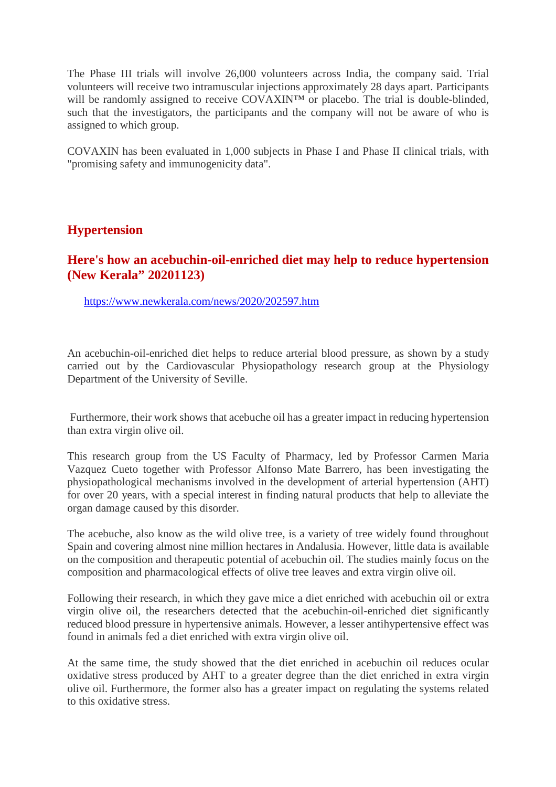The Phase III trials will involve 26,000 volunteers across India, the company said. Trial volunteers will receive two intramuscular injections approximately 28 days apart. Participants will be randomly assigned to receive COVAXIN™ or placebo. The trial is double-blinded, such that the investigators, the participants and the company will not be aware of who is assigned to which group.

COVAXIN has been evaluated in 1,000 subjects in Phase I and Phase II clinical trials, with "promising safety and immunogenicity data".

#### **Hypertension**

#### **Here's how an acebuchin-oil-enriched diet may help to reduce hypertension (New Kerala" 20201123)**

https://www.newkerala.com/news/2020/202597.htm

An acebuchin-oil-enriched diet helps to reduce arterial blood pressure, as shown by a study carried out by the Cardiovascular Physiopathology research group at the Physiology Department of the University of Seville.

Furthermore, their work shows that acebuche oil has a greater impact in reducing hypertension than extra virgin olive oil.

This research group from the US Faculty of Pharmacy, led by Professor Carmen Maria Vazquez Cueto together with Professor Alfonso Mate Barrero, has been investigating the physiopathological mechanisms involved in the development of arterial hypertension (AHT) for over 20 years, with a special interest in finding natural products that help to alleviate the organ damage caused by this disorder.

The acebuche, also know as the wild olive tree, is a variety of tree widely found throughout Spain and covering almost nine million hectares in Andalusia. However, little data is available on the composition and therapeutic potential of acebuchin oil. The studies mainly focus on the composition and pharmacological effects of olive tree leaves and extra virgin olive oil.

Following their research, in which they gave mice a diet enriched with acebuchin oil or extra virgin olive oil, the researchers detected that the acebuchin-oil-enriched diet significantly reduced blood pressure in hypertensive animals. However, a lesser antihypertensive effect was found in animals fed a diet enriched with extra virgin olive oil.

At the same time, the study showed that the diet enriched in acebuchin oil reduces ocular oxidative stress produced by AHT to a greater degree than the diet enriched in extra virgin olive oil. Furthermore, the former also has a greater impact on regulating the systems related to this oxidative stress.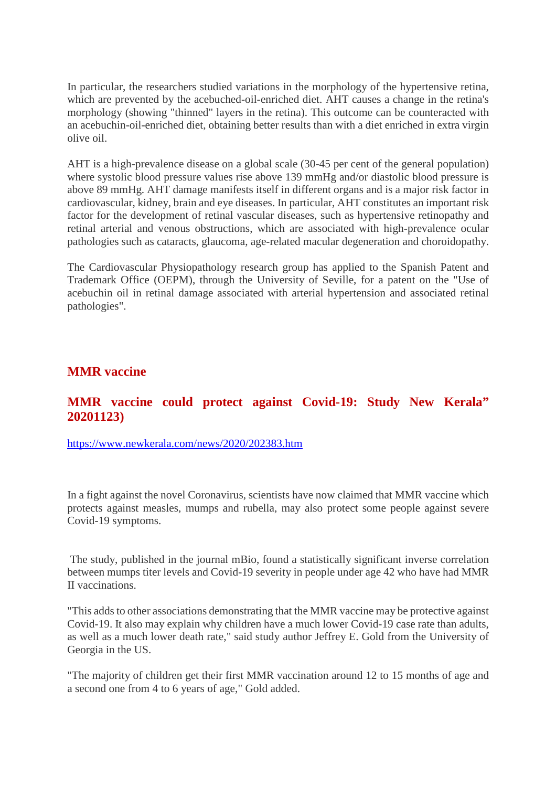In particular, the researchers studied variations in the morphology of the hypertensive retina, which are prevented by the acebuched-oil-enriched diet. AHT causes a change in the retina's morphology (showing "thinned" layers in the retina). This outcome can be counteracted with an acebuchin-oil-enriched diet, obtaining better results than with a diet enriched in extra virgin olive oil.

AHT is a high-prevalence disease on a global scale (30-45 per cent of the general population) where systolic blood pressure values rise above 139 mmHg and/or diastolic blood pressure is above 89 mmHg. AHT damage manifests itself in different organs and is a major risk factor in cardiovascular, kidney, brain and eye diseases. In particular, AHT constitutes an important risk factor for the development of retinal vascular diseases, such as hypertensive retinopathy and retinal arterial and venous obstructions, which are associated with high-prevalence ocular pathologies such as cataracts, glaucoma, age-related macular degeneration and choroidopathy.

The Cardiovascular Physiopathology research group has applied to the Spanish Patent and Trademark Office (OEPM), through the University of Seville, for a patent on the "Use of acebuchin oil in retinal damage associated with arterial hypertension and associated retinal pathologies".

#### **MMR vaccine**

#### **MMR vaccine could protect against Covid-19: Study New Kerala" 20201123)**

https://www.newkerala.com/news/2020/202383.htm

In a fight against the novel Coronavirus, scientists have now claimed that MMR vaccine which protects against measles, mumps and rubella, may also protect some people against severe Covid-19 symptoms.

The study, published in the journal mBio, found a statistically significant inverse correlation between mumps titer levels and Covid-19 severity in people under age 42 who have had MMR II vaccinations.

"This adds to other associations demonstrating that the MMR vaccine may be protective against Covid-19. It also may explain why children have a much lower Covid-19 case rate than adults, as well as a much lower death rate," said study author Jeffrey E. Gold from the University of Georgia in the US.

"The majority of children get their first MMR vaccination around 12 to 15 months of age and a second one from 4 to 6 years of age," Gold added.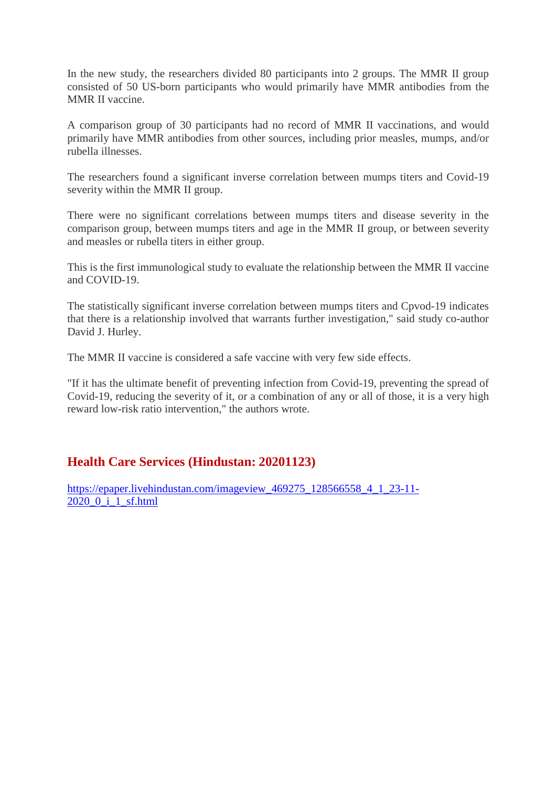In the new study, the researchers divided 80 participants into 2 groups. The MMR II group consisted of 50 US-born participants who would primarily have MMR antibodies from the MMR II vaccine.

A comparison group of 30 participants had no record of MMR II vaccinations, and would primarily have MMR antibodies from other sources, including prior measles, mumps, and/or rubella illnesses.

The researchers found a significant inverse correlation between mumps titers and Covid-19 severity within the MMR II group.

There were no significant correlations between mumps titers and disease severity in the comparison group, between mumps titers and age in the MMR II group, or between severity and measles or rubella titers in either group.

This is the first immunological study to evaluate the relationship between the MMR II vaccine and COVID-19.

The statistically significant inverse correlation between mumps titers and Cpvod-19 indicates that there is a relationship involved that warrants further investigation," said study co-author David J. Hurley.

The MMR II vaccine is considered a safe vaccine with very few side effects.

"If it has the ultimate benefit of preventing infection from Covid-19, preventing the spread of Covid-19, reducing the severity of it, or a combination of any or all of those, it is a very high reward low-risk ratio intervention," the authors wrote.

#### **Health Care Services (Hindustan: 20201123)**

https://epaper.livehindustan.com/imageview\_469275\_128566558\_4\_1\_23-11-2020\_0\_i\_1\_sf.html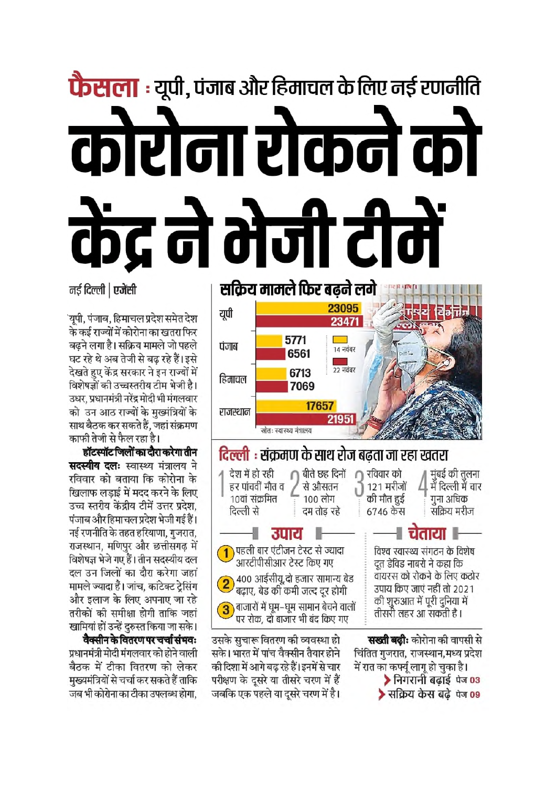# **फैसला**: यूपी, पंजाब और हिमाचल के लिए नई रणनीति कोरोना रोकने को केंद्र ने मेजी टीमें

परीक्षण के दुसरे या तीसरे चरण में हैं

जबकि एक पहले या दसरे चरण में है।

नई दिल्ली | एजेंसी

`यूपी, पंजाब, हिमाचल प्रदेश समेत देश के कई राज्यों में कोरोना का खतरा फिर बढने लगा है। सक्रिय मामले जो पहले घट रहे थे अब तेजी से बढ़ रहे हैं।इसे देखते हुए केंद्र सरकार ने इन राज्यों में विशेषज्ञों की उच्चस्तरीय टीम भेजी है। उधर, प्रधानमंत्री नरेंद्र मोदी भी मंगलवार को उन आठ राज्यों के मुख्मंत्रियों के साथ बैठक कर सकते हैं, जहां संक्रमण काफी तेजी से फैल रहा है।

हॉटस्पॉट जिलों का दौरा करेगा तीन सदस्यीय दल: स्वास्थ्य मंत्रालय ने रविवार को बताया कि कोरोना के खिलाफ लडाई में मदद करने के लिए उच्च स्तरीय केंद्रीय टीमें उत्तर प्रदेश. पंजाब और हिमाचल प्रदेश भेजी गई हैं। नई रणनीति के तहत हरियाणा, गुजरात, राजस्थान, मणिपुर और छत्तीसगढ़ में विशेषज्ञ भेजे गए हैं। तीन सदस्यीय दल दल उन जिलों का दौरा करेगा जहां मामले ज्यादा हैं। जांच, कांटेक्ट ट्रेसिंग और इलाज के लिए अपनाए जा रहे तरीकों की समीक्षा होगी ताकि जहां खामियां हों उन्हें दुरुस्त किया जा सके।

वैक्सीन के वितरण पर चर्चा संभवः प्रधानमंत्री मोदी मंगलवार को होने वाली बैठक में टीका वितरण को लेकर मुख्यमंत्रियों से चर्चा कर सकते हैं ताकि जब भी कोरोना का टीका उपलब्ध होगा.

सक्रिय मामले फिर बढ़ने लगे 23095 यूपी 23471 5771 पंजाब 14 नवंबर 6561 22 नवंबर 6713 हिमाचल 7069 17657 राजस्थान 21951 स्रोतः स्वास्थ्य मंत्रालय दिल्ली : संक्रमण के साथ रोज बढता जा रहा खतरा देश में हो रही बीते छह दिनों  $\bigcap$  रविवार को मुंबई की तुलना  $\perp$  में दिल्ली में चार हर पांचवीं मौत व से औसतन 121 मरीजों १०वां संक्रमित 100 लोग की मौत हुई गुना अधिक दिल्ली से सक्रिय मरीज दम तोड रहे 6746 केस л उपाय चेताया ।  $\bigcap$ पहली बार एंटीजन टेस्ट से ज्यादा विश्व स्वास्थ्य संगठन के विशेष आरटीपीसीआर टेस्ट किए गए दूत डेविड नाबरो ने कहा कि वायरस को रोकने के लिए कटोर 400 आईसीयू,दो हजार सामान्य बेड उपाय किए जाएं नहीं तो 2021 बढाए, बेड की कमी जल्द दूर होगी की शुरुआत में पूरी दुनिया में 3) बाजारों में घूम–घूम सामान बेचने वालों तीसरी लहर आ सकती है। पर रोक, दो बाजार भी बंद किए गए **सख्ती बढीः** कोरोना की वापसी से उसके सुचारू वितरण की व्यवस्था हो सके। भारत में पांच वैक्सीन तैयार होने चिंतित गुजरात, राजस्थान,मध्य प्रदेश की दिशा में आगे बढ़ रहे हैं। इनमें से चार में रात का कर्फ्यू लागू हो चुका है।

▶ निगरानी बढाई पेज 03 ▶ सक्रिय केस बढे पेज 09